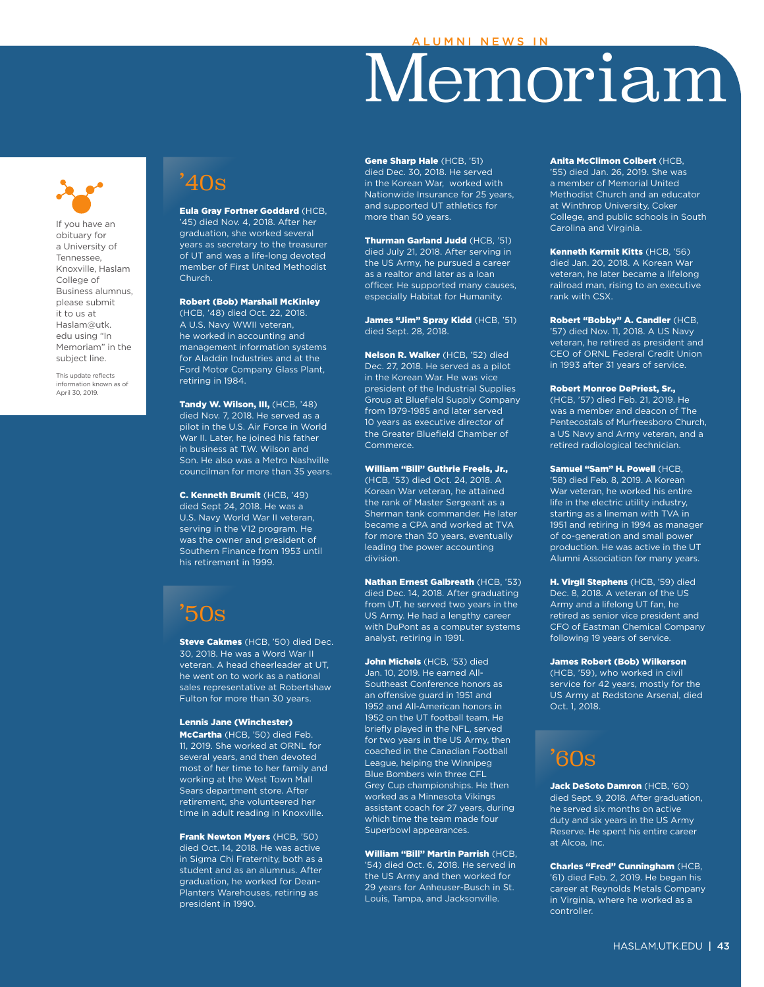# Memoriam



If you have an obituary for a University of Tennessee, Knoxville, Haslam College of Business alumnus, please submit it to us at Haslam@utk. edu using "In Memoriam" in the subject line.

This update reflects information known as of April 30, 2019.

# '40s

Eula Gray Fortner Goddard (HCB, '45) died Nov. 4, 2018. After her graduation, she worked several years as secretary to the treasurer of UT and was a life-long devoted member of First United Methodist Church.

## Robert (Bob) Marshall McKinley

(HCB, '48) died Oct. 22, 2018. A U.S. Navy WWII veteran, he worked in accounting and management information systems for Aladdin Industries and at the Ford Motor Company Glass Plant, retiring in 1984.

Tandy W. Wilson, III, (HCB, '48) died Nov. 7, 2018. He served as a pilot in the U.S. Air Force in World War II. Later, he joined his father in business at T.W. Wilson and Son. He also was a Metro Nashville councilman for more than 35 years.

C. Kenneth Brumit (HCB, '49) died Sept 24, 2018. He was a U.S. Navy World War II veteran, serving in the V12 program. He was the owner and president of Southern Finance from 1953 until his retirement in 1999.

# '50s

Steve Cakmes (HCB, '50) died Dec. 30, 2018. He was a Word War II veteran. A head cheerleader at UT, he went on to work as a national sales representative at Robertshaw Fulton for more than 30 years.

## Lennis Jane (Winchester)

McCartha (HCB, '50) died Feb. 11, 2019. She worked at ORNL for several years, and then devoted most of her time to her family and working at the West Town Mall Sears department store. After retirement, she volunteered her time in adult reading in Knoxville.

Frank Newton Myers (HCB, '50) died Oct. 14, 2018. He was active in Sigma Chi Fraternity, both as a student and as an alumnus. After graduation, he worked for Dean-Planters Warehouses, retiring as president in 1990.

Gene Sharp Hale (HCB, '51) died Dec. 30, 2018. He served in the Korean War, worked with Nationwide Insurance for 25 years, and supported UT athletics for more than 50 years.

Thurman Garland Judd (HCB, '51) died July 21, 2018. After serving in the US Army, he pursued a career as a realtor and later as a loan officer. He supported many causes, especially Habitat for Humanity.

James "Jim" Spray Kidd (HCB, '51) died Sept. 28, 2018.

Nelson R. Walker (HCB, '52) died Dec. 27, 2018. He served as a pilot in the Korean War. He was vice president of the Industrial Supplies Group at Bluefield Supply Company from 1979-1985 and later served 10 years as executive director of the Greater Bluefield Chamber of Commerce.

William "Bill" Guthrie Freels, Jr.,

(HCB, '53) died Oct. 24, 2018. A Korean War veteran, he attained the rank of Master Sergeant as a Sherman tank commander. He later became a CPA and worked at TVA for more than 30 years, eventually leading the power accounting division.

Nathan Ernest Galbreath (HCB, '53) died Dec. 14, 2018. After graduating from UT, he served two years in the US Army. He had a lengthy career with DuPont as a computer systems analyst, retiring in 1991.

John Michels (HCB, '53) died Jan. 10, 2019. He earned All-Southeast Conference honors as an offensive guard in 1951 and 1952 and All-American honors in 1952 on the UT football team. He briefly played in the NFL, served for two years in the US Army, then coached in the Canadian Football League, helping the Winnipeg Blue Bombers win three CFL Grey Cup championships. He then worked as a Minnesota Vikings assistant coach for 27 years, during which time the team made four Superbowl appearances.

# William "Bill" Martin Parrish (HCB,

'54) died Oct. 6, 2018. He served in the US Army and then worked for 29 years for Anheuser-Busch in St. Louis, Tampa, and Jacksonville.

Anita McClimon Colbert (HCB, '55) died Jan. 26, 2019. She was a member of Memorial United Methodist Church and an educator at Winthrop University, Coker College, and public schools in South Carolina and Virginia.

Kenneth Kermit Kitts (HCB, '56) died Jan. 20, 2018. A Korean War veteran, he later became a lifelong railroad man, rising to an executive rank with CSX.

Robert "Bobby" A. Candler (HCB, '57) died Nov. 11, 2018. A US Navy veteran, he retired as president and CEO of ORNL Federal Credit Union in 1993 after 31 years of service.

Robert Monroe DePriest, Sr., (HCB, '57) died Feb. 21, 2019. He was a member and deacon of The Pentecostals of Murfreesboro Church, a US Navy and Army veteran, and a retired radiological technician.

Samuel "Sam" H. Powell (HCB, '58) died Feb. 8, 2019. A Korean War veteran, he worked his entire life in the electric utility industry, starting as a lineman with TVA in 1951 and retiring in 1994 as manager of co-generation and small power production. He was active in the UT Alumni Association for many years.

H. Virgil Stephens (HCB, '59) died Dec. 8, 2018. A veteran of the US Army and a lifelong UT fan, he retired as senior vice president and CFO of Eastman Chemical Company following 19 years of service.

James Robert (Bob) Wilkerson

(HCB, '59), who worked in civil service for 42 years, mostly for the US Army at Redstone Arsenal, died Oct. 1, 2018.

# '60s

Jack DeSoto Damron (HCB, '60) died Sept. 9, 2018. After graduation, he served six months on active duty and six years in the US Army Reserve. He spent his entire career at Alcoa, Inc.

Charles "Fred" Cunningham (HCB, '61) died Feb. 2, 2019. He began his career at Reynolds Metals Company in Virginia, where he worked as a controller.